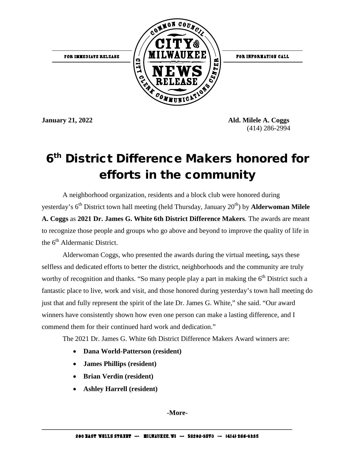

**January 21, 2022 Ald. Milele A. Coggs**  (414) 286-2994

## 6<sup>th</sup> District Difference Makers honored for efforts in the community

A neighborhood organization, residents and a block club were honored during yesterday's 6<sup>th</sup> District town hall meeting (held Thursday, January 20<sup>th</sup>) by **Alderwoman Milele A. Coggs** as **2021 Dr. James G. White 6th District Difference Makers**. The awards are meant to recognize those people and groups who go above and beyond to improve the quality of life in the  $6<sup>th</sup>$  Aldermanic District.

Alderwoman Coggs, who presented the awards during the virtual meeting**,** says these selfless and dedicated efforts to better the district, neighborhoods and the community are truly worthy of recognition and thanks. "So many people play a part in making the  $6<sup>th</sup>$  District such a fantastic place to live, work and visit, and those honored during yesterday's town hall meeting do just that and fully represent the spirit of the late Dr. James G. White," she said. "Our award winners have consistently shown how even one person can make a lasting difference, and I commend them for their continued hard work and dedication."

The 2021 Dr. James G. White 6th District Difference Makers Award winners are:

- **Dana World-Patterson (resident)**
- **James Phillips (resident)**
- **Brian Verdin (resident)**
- **Ashley Harrell (resident)**

**-More-**